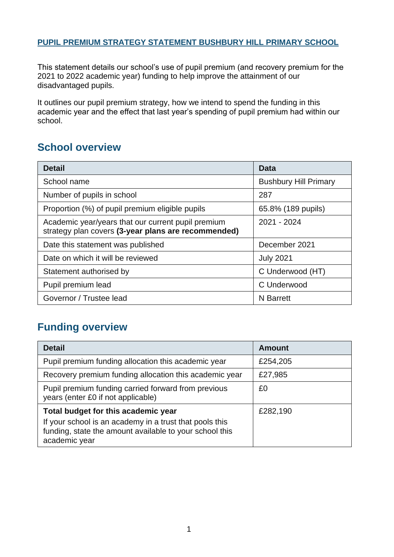#### **PUPIL PREMIUM STRATEGY STATEMENT BUSHBURY HILL PRIMARY SCHOOL**

This statement details our school's use of pupil premium (and recovery premium for the 2021 to 2022 academic year) funding to help improve the attainment of our disadvantaged pupils.

It outlines our pupil premium strategy, how we intend to spend the funding in this academic year and the effect that last year's spending of pupil premium had within our school.

### **School overview**

| <b>Detail</b>                                                                                             | Data                         |
|-----------------------------------------------------------------------------------------------------------|------------------------------|
| School name                                                                                               | <b>Bushbury Hill Primary</b> |
| Number of pupils in school                                                                                | 287                          |
| Proportion (%) of pupil premium eligible pupils                                                           | 65.8% (189 pupils)           |
| Academic year/years that our current pupil premium<br>strategy plan covers (3-year plans are recommended) | 2021 - 2024                  |
| Date this statement was published                                                                         | December 2021                |
| Date on which it will be reviewed                                                                         | <b>July 2021</b>             |
| Statement authorised by                                                                                   | C Underwood (HT)             |
| Pupil premium lead                                                                                        | C Underwood                  |
| Governor / Trustee lead                                                                                   | <b>N</b> Barrett             |

#### **Funding overview**

| <b>Detail</b>                                                                                                                       | <b>Amount</b> |
|-------------------------------------------------------------------------------------------------------------------------------------|---------------|
| Pupil premium funding allocation this academic year                                                                                 | £254,205      |
| Recovery premium funding allocation this academic year                                                                              | £27,985       |
| Pupil premium funding carried forward from previous<br>years (enter £0 if not applicable)                                           | £0            |
| Total budget for this academic year                                                                                                 | £282,190      |
| If your school is an academy in a trust that pools this<br>funding, state the amount available to your school this<br>academic year |               |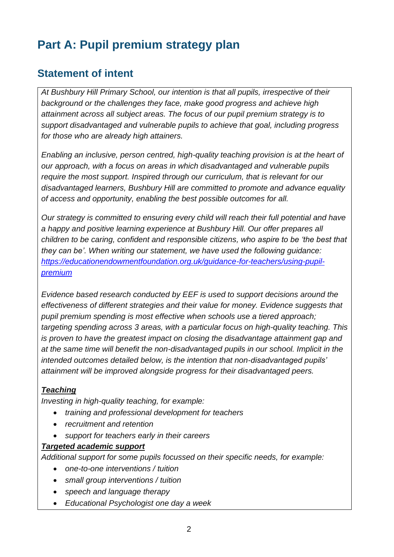# **Part A: Pupil premium strategy plan**

### **Statement of intent**

*At Bushbury Hill Primary School, our intention is that all pupils, irrespective of their background or the challenges they face, make good progress and achieve high attainment across all subject areas. The focus of our pupil premium strategy is to support disadvantaged and vulnerable pupils to achieve that goal, including progress for those who are already high attainers.* 

*Enabling an inclusive, person centred, high-quality teaching provision is at the heart of our approach, with a focus on areas in which disadvantaged and vulnerable pupils require the most support. Inspired through our curriculum, that is relevant for our disadvantaged learners, Bushbury Hill are committed to promote and advance equality of access and opportunity, enabling the best possible outcomes for all.*

*Our strategy is committed to ensuring every child will reach their full potential and have a happy and positive learning experience at Bushbury Hill. Our offer prepares all children to be caring, confident and responsible citizens, who aspire to be 'the best that they can be'. When writing our statement, we have used the following guidance: [https://educationendowmentfoundation.org.uk/guidance-for-teachers/using-pupil](https://educationendowmentfoundation.org.uk/guidance-for-teachers/using-pupil-premium)[premium](https://educationendowmentfoundation.org.uk/guidance-for-teachers/using-pupil-premium)*

*Evidence based research conducted by EEF is used to support decisions around the effectiveness of different strategies and their value for money. Evidence suggests that pupil premium spending is most effective when schools use a tiered approach; targeting spending across 3 areas, with a particular focus on high-quality teaching. This is proven to have the greatest impact on closing the disadvantage attainment gap and at the same time will benefit the non-disadvantaged pupils in our school. Implicit in the intended outcomes detailed below, is the intention that non-disadvantaged pupils' attainment will be improved alongside progress for their disadvantaged peers.*

#### *Teaching*

*Investing in high-quality teaching, for example:*

- *training and professional development for teachers*
- *recruitment and retention*
- *support for teachers early in their careers*

#### *Targeted academic support*

*Additional support for some pupils focussed on their specific needs, for example:*

- *one-to-one interventions / tuition*
- *small group interventions / tuition*
- *speech and language therapy*
- *Educational Psychologist one day a week*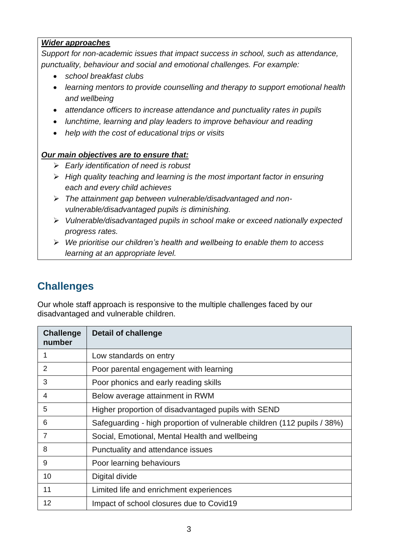#### *Wider approaches*

*Support for non-academic issues that impact success in school, such as attendance, punctuality, behaviour and social and emotional challenges. For example:*

- *school breakfast clubs*
- *learning mentors to provide counselling and therapy to support emotional health and wellbeing*
- *attendance officers to increase attendance and punctuality rates in pupils*
- *lunchtime, learning and play leaders to improve behaviour and reading*
- *help with the cost of educational trips or visits*

#### *Our main objectives are to ensure that:*

- ➢ *Early identification of need is robust*
- ➢ *High quality teaching and learning is the most important factor in ensuring each and every child achieves*
- ➢ *The attainment gap between vulnerable/disadvantaged and nonvulnerable/disadvantaged pupils is diminishing.*
- ➢ *Vulnerable/disadvantaged pupils in school make or exceed nationally expected progress rates.*
- ➢ *We prioritise our children's health and wellbeing to enable them to access learning at an appropriate level.*

## **Challenges**

Our whole staff approach is responsive to the multiple challenges faced by our disadvantaged and vulnerable children.

| <b>Challenge</b><br>number | <b>Detail of challenge</b>                                               |
|----------------------------|--------------------------------------------------------------------------|
| 1                          | Low standards on entry                                                   |
| $\overline{2}$             | Poor parental engagement with learning                                   |
| 3                          | Poor phonics and early reading skills                                    |
| 4                          | Below average attainment in RWM                                          |
| 5                          | Higher proportion of disadvantaged pupils with SEND                      |
| 6                          | Safeguarding - high proportion of vulnerable children (112 pupils / 38%) |
| $\overline{7}$             | Social, Emotional, Mental Health and wellbeing                           |
| 8                          | Punctuality and attendance issues                                        |
| 9                          | Poor learning behaviours                                                 |
| 10                         | Digital divide                                                           |
| 11                         | Limited life and enrichment experiences                                  |
| 12                         | Impact of school closures due to Covid19                                 |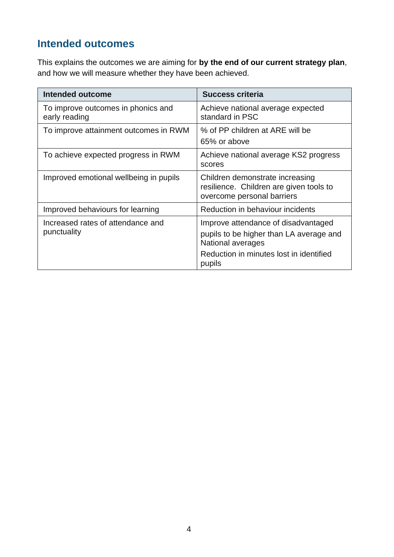## **Intended outcomes**

This explains the outcomes we are aiming for **by the end of our current strategy plan**, and how we will measure whether they have been achieved.

| <b>Intended outcome</b>                             | <b>Success criteria</b>                                                                                                                                  |
|-----------------------------------------------------|----------------------------------------------------------------------------------------------------------------------------------------------------------|
| To improve outcomes in phonics and<br>early reading | Achieve national average expected<br>standard in PSC                                                                                                     |
| To improve attainment outcomes in RWM               | % of PP children at ARE will be<br>65% or above                                                                                                          |
| To achieve expected progress in RWM                 | Achieve national average KS2 progress<br>scores                                                                                                          |
| Improved emotional wellbeing in pupils              | Children demonstrate increasing<br>resilience. Children are given tools to<br>overcome personal barriers                                                 |
| Improved behaviours for learning                    | Reduction in behaviour incidents                                                                                                                         |
| Increased rates of attendance and<br>punctuality    | Improve attendance of disadvantaged<br>pupils to be higher than LA average and<br>National averages<br>Reduction in minutes lost in identified<br>pupils |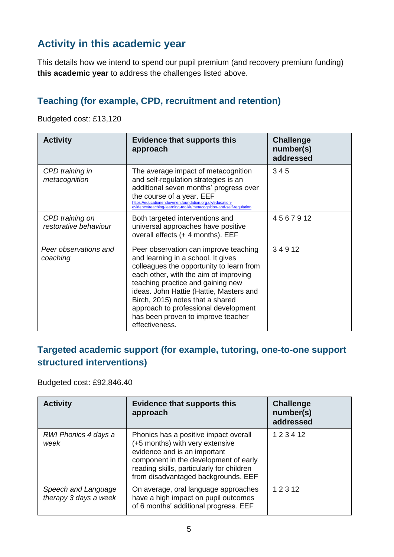## **Activity in this academic year**

This details how we intend to spend our pupil premium (and recovery premium funding) **this academic year** to address the challenges listed above.

#### **Teaching (for example, CPD, recruitment and retention)**

Budgeted cost: £13,120

| <b>Activity</b>                          | <b>Evidence that supports this</b><br>approach                                                                                                                                                                                                                                                                                                                                       | <b>Challenge</b><br>number(s)<br>addressed |
|------------------------------------------|--------------------------------------------------------------------------------------------------------------------------------------------------------------------------------------------------------------------------------------------------------------------------------------------------------------------------------------------------------------------------------------|--------------------------------------------|
| CPD training in<br>metacognition         | The average impact of metacognition<br>and self-regulation strategies is an<br>additional seven months' progress over<br>the course of a year. EEF<br>https://educationendowmentfoundation.org.uk/education-<br>evidence/teaching-learning-toolkit/metacognition-and-self-regulation                                                                                                 | 345                                        |
| CPD training on<br>restorative behaviour | Both targeted interventions and<br>universal approaches have positive<br>overall effects (+ 4 months). EEF                                                                                                                                                                                                                                                                           | 4567912                                    |
| Peer observations and<br>coaching        | Peer observation can improve teaching<br>and learning in a school. It gives<br>colleagues the opportunity to learn from<br>each other, with the aim of improving<br>teaching practice and gaining new<br>ideas. John Hattie (Hattie, Masters and<br>Birch, 2015) notes that a shared<br>approach to professional development<br>has been proven to improve teacher<br>effectiveness. | 34912                                      |

#### **Targeted academic support (for example, tutoring, one-to-one support structured interventions)**

Budgeted cost: £92,846.40

| <b>Activity</b>                              | <b>Evidence that supports this</b><br>approach                                                                                                                                                                                        | <b>Challenge</b><br>number(s)<br>addressed |
|----------------------------------------------|---------------------------------------------------------------------------------------------------------------------------------------------------------------------------------------------------------------------------------------|--------------------------------------------|
| RWI Phonics 4 days a<br>week                 | Phonics has a positive impact overall<br>(+5 months) with very extensive<br>evidence and is an important<br>component in the development of early<br>reading skills, particularly for children<br>from disadvantaged backgrounds. EEF | 123412                                     |
| Speech and Language<br>therapy 3 days a week | On average, oral language approaches<br>have a high impact on pupil outcomes<br>of 6 months' additional progress. EEF                                                                                                                 | 1 2 3 1 2                                  |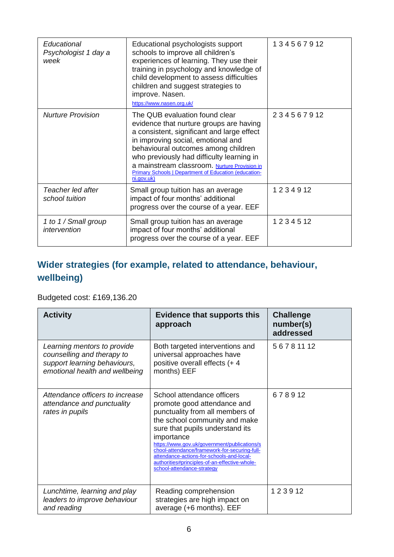| Educational<br>Psychologist 1 day a<br>week | Educational psychologists support<br>schools to improve all children's<br>experiences of learning. They use their<br>training in psychology and knowledge of<br>child development to assess difficulties<br>children and suggest strategies to<br>improve. Nasen.<br>https://www.nasen.org.uk/                                                                                  | 134567912    |
|---------------------------------------------|---------------------------------------------------------------------------------------------------------------------------------------------------------------------------------------------------------------------------------------------------------------------------------------------------------------------------------------------------------------------------------|--------------|
| Nurture Provision                           | The QUB evaluation found clear<br>evidence that nurture groups are having<br>a consistent, significant and large effect<br>in improving social, emotional and<br>behavioural outcomes among children<br>who previously had difficulty learning in<br>a mainstream classroom. Nurture Provision in<br><b>Primary Schools   Department of Education (education-</b><br>ni.gov.uk) | 234567912    |
| Teacher led after<br>school tuition         | Small group tuition has an average<br>impact of four months' additional<br>progress over the course of a year. EEF                                                                                                                                                                                                                                                              | 1234912      |
| 1 to 1 / Small group<br>intervention        | Small group tuition has an average<br>impact of four months' additional<br>progress over the course of a year. EEF                                                                                                                                                                                                                                                              | 1 2 3 4 5 12 |

## **Wider strategies (for example, related to attendance, behaviour, wellbeing)**

Budgeted cost: £169,136.20

| <b>Activity</b>                                                                                                             | <b>Evidence that supports this</b><br>approach                                                                                                                                                                                                                                                                                                                                                              | <b>Challenge</b><br>number(s)<br>addressed |
|-----------------------------------------------------------------------------------------------------------------------------|-------------------------------------------------------------------------------------------------------------------------------------------------------------------------------------------------------------------------------------------------------------------------------------------------------------------------------------------------------------------------------------------------------------|--------------------------------------------|
| Learning mentors to provide<br>counselling and therapy to<br>support learning behaviours,<br>emotional health and wellbeing | Both targeted interventions and<br>universal approaches have<br>positive overall effects (+ 4<br>months) EEF                                                                                                                                                                                                                                                                                                | 56781112                                   |
| Attendance officers to increase<br>attendance and punctuality<br>rates in pupils                                            | School attendance officers<br>promote good attendance and<br>punctuality from all members of<br>the school community and make<br>sure that pupils understand its<br>importance<br>https://www.gov.uk/government/publications/s<br>chool-attendance/framework-for-securing-full-<br>attendance-actions-for-schools-and-local-<br>authorities#principles-of-an-effective-whole-<br>school-attendance-strategy | 678912                                     |
| Lunchtime, learning and play<br>leaders to improve behaviour<br>and reading                                                 | Reading comprehension<br>strategies are high impact on<br>average (+6 months). EEF                                                                                                                                                                                                                                                                                                                          | 123912                                     |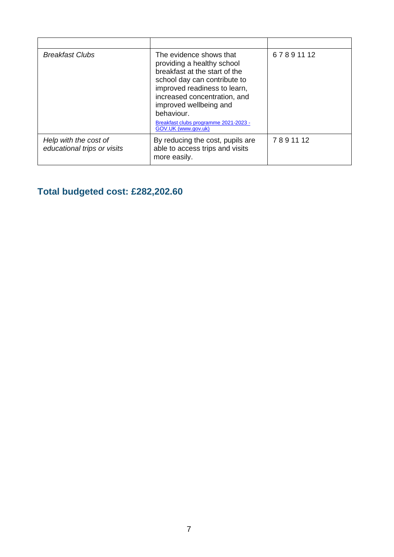| <b>Breakfast Clubs</b>                               | The evidence shows that<br>providing a healthy school<br>breakfast at the start of the<br>school day can contribute to<br>improved readiness to learn,<br>increased concentration, and<br>improved wellbeing and<br>behaviour.<br>Breakfast clubs programme 2021-2023 -<br>GOV.UK (www.gov.uk) | 67891112 |
|------------------------------------------------------|------------------------------------------------------------------------------------------------------------------------------------------------------------------------------------------------------------------------------------------------------------------------------------------------|----------|
| Help with the cost of<br>educational trips or visits | By reducing the cost, pupils are<br>able to access trips and visits<br>more easily.                                                                                                                                                                                                            | 7891112  |

## **Total budgeted cost: £282,202.60**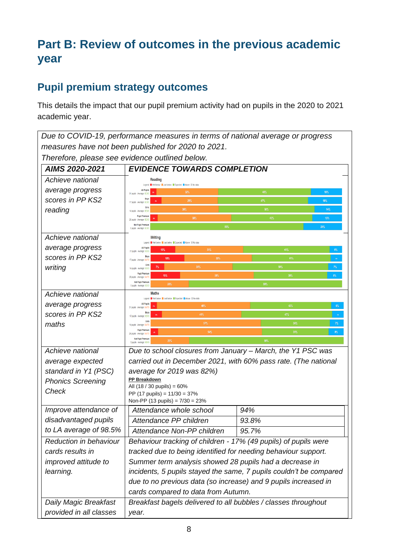# **Part B: Review of outcomes in the previous academic year**

## **Pupil premium strategy outcomes**

This details the impact that our pupil premium activity had on pupils in the 2020 to 2021 academic year.

*Due to COVID-19, performance measures in terms of national average or progress measures have not been published for 2020 to 2021.*

*Therefore, please see evidence outlined below.*

| AIMS 2020-2021              | <b>EVIDENCE TOWARDS COMPLETION</b>                                               |                                                                 |
|-----------------------------|----------------------------------------------------------------------------------|-----------------------------------------------------------------|
| Achieve national            | <b>Reading</b><br>Legend Well below U Just below U Expected U Above U No data    |                                                                 |
| average progress            | <b>All Pupils</b><br>32%<br>31 pupils - Average: 6EX9                            | 48%<br>16%                                                      |
| scores in PP KS2            | Boy:<br>$29\%$<br>17 pupils - Average: 6EX                                       | 47%<br>18%                                                      |
| reading                     | Girls<br>$36\%$<br>14 pupils - Average: 6EXS                                     | 50%<br>14%                                                      |
|                             | <b>Pupil Premiun</b><br>38%<br>26 pupils - Average: 6EXS                         | 15%<br>42%                                                      |
|                             | <b>Not Pupil Premiun</b><br>$80\%$<br>5 pupils - Average: 6EX9                   | $20\%$                                                          |
| Achieve national            | Writing<br>Legend Well below Uust below Expected Above III No data               |                                                                 |
| average progress            | <b>All Pupils</b><br>35%<br>13%<br>31 pupils - Average: 6EX                      | 45%<br>6%                                                       |
| scores in PP KS2            | 35%<br>18%<br>17 pupils - Average: 6WT                                           | 41%                                                             |
| writing                     | Girls<br>36%<br>14 pupils - Average: 6EXS                                        | 50%<br>7%                                                       |
|                             | <b>Pupil Premium</b><br>38%<br>15%<br>26 pupils - Average: 6WT                   | 38%<br>$8\%$                                                    |
|                             | <b>Not Pupil Premium</b><br>20%<br>5 pupils - Average: 6EXS                      | $80\%$                                                          |
| Achieve national            | Maths<br>Legend Well below Just below Expected Above III No data                 |                                                                 |
| average progress            | All Pupils<br>48%<br>31 pupils - Average: 6                                      | 42%<br>$6\%$                                                    |
| scores in PP KS2            | Boy:<br>41%<br>17 pupils - Average: 6EX!                                         | $47\%$<br>$_{65}$                                               |
| maths                       | Girls<br>57%<br>36%<br>$7\%$<br>14 publis - Average: 6WT<br><b>Pupil Premium</b> |                                                                 |
|                             | 54%<br>26 pupils - Average: 6WT3<br><b>Not Pupil Premium</b>                     | $35\%$<br>$8\%$                                                 |
|                             | 20%<br>5 pupils - Average: 6EX3                                                  | 80%                                                             |
| Achieve national            | Due to school closures from January - March, the Y1 PSC was                      |                                                                 |
| average expected            |                                                                                  | carried out in December 2021, with 60% pass rate. (The national |
| standard in Y1 (PSC)        | average for 2019 was 82%)                                                        |                                                                 |
| <b>Phonics Screening</b>    | PP Breakdown<br>All (18 / 30 pupils) = 60%                                       |                                                                 |
| Check                       | PP (17 pupils) = 11/30 = 37%                                                     |                                                                 |
|                             | Non-PP (13 pupils) = $7/30 = 23%$                                                |                                                                 |
| Improve attendance of       | Attendance whole school                                                          | 94%                                                             |
| disadvantaged pupils        | Attendance PP children                                                           | 93.8%                                                           |
| to LA average of 98.5%      | Attendance Non-PP children<br>95.7%                                              |                                                                 |
| Reduction in behaviour      | Behaviour tracking of children - 17% (49 pupils) of pupils were                  |                                                                 |
| cards results in            | tracked due to being identified for needing behaviour support.                   |                                                                 |
| <i>improved</i> attitude to | Summer term analysis showed 28 pupils had a decrease in                          |                                                                 |
| learning.                   | incidents, 5 pupils stayed the same, 7 pupils couldn't be compared               |                                                                 |
|                             | due to no previous data (so increase) and 9 pupils increased in                  |                                                                 |
|                             | cards compared to data from Autumn.                                              |                                                                 |
| Daily Magic Breakfast       | Breakfast bagels delivered to all bubbles / classes throughout                   |                                                                 |
| provided in all classes     | year.                                                                            |                                                                 |